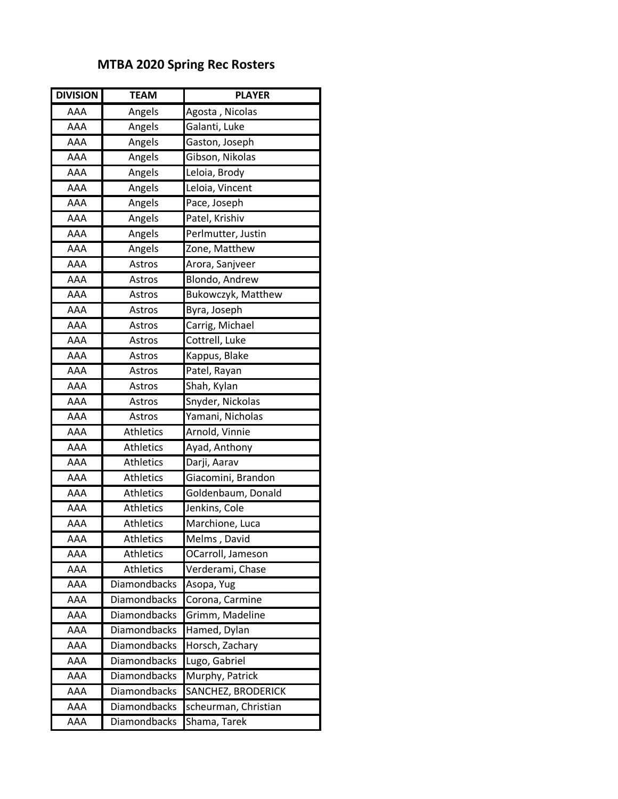## **MTBA 2020 Spring Rec Rosters**

| <b>DIVISION</b> | <b>TEAM</b>         | <b>PLAYER</b>        |
|-----------------|---------------------|----------------------|
| AAA             | Angels              | Agosta, Nicolas      |
| AAA             | Angels              | Galanti, Luke        |
| AAA             | Angels              | Gaston, Joseph       |
| AAA             | Angels              | Gibson, Nikolas      |
| AAA             | Angels              | Leloia, Brody        |
| AAA             | Angels              | Leloia, Vincent      |
| AAA             | Angels              | Pace, Joseph         |
| AAA             | Angels              | Patel, Krishiv       |
| AAA             | Angels              | Perlmutter, Justin   |
| AAA             | Angels              | Zone, Matthew        |
| AAA             | Astros              | Arora, Sanjveer      |
| AAA             | Astros              | Blondo, Andrew       |
| AAA             | Astros              | Bukowczyk, Matthew   |
| AAA             | Astros              | Byra, Joseph         |
| AAA             | Astros              | Carrig, Michael      |
| <b>AAA</b>      | Astros              | Cottrell, Luke       |
| AAA             | Astros              | Kappus, Blake        |
| AAA             | Astros              | Patel, Rayan         |
| AAA             | Astros              | Shah, Kylan          |
| AAA             | Astros              | Snyder, Nickolas     |
| AAA             | Astros              | Yamani, Nicholas     |
| AAA             | <b>Athletics</b>    | Arnold, Vinnie       |
| AAA             | <b>Athletics</b>    | Ayad, Anthony        |
| AAA             | <b>Athletics</b>    | Darji, Aarav         |
| AAA             | <b>Athletics</b>    | Giacomini, Brandon   |
| AAA             | <b>Athletics</b>    | Goldenbaum, Donald   |
| <b>AAA</b>      | <b>Athletics</b>    | Jenkins, Cole        |
| AAA             | Athletics           | Marchione, Luca      |
| AAA             | Athletics           | Melms, David         |
| AAA             | <b>Athletics</b>    | OCarroll, Jameson    |
| AAA             | Athletics           | Verderami, Chase     |
| AAA             | Diamondbacks        | Asopa, Yug           |
| AAA             | Diamondbacks        | Corona, Carmine      |
| AAA             | <b>Diamondbacks</b> | Grimm, Madeline      |
| AAA             | Diamondbacks        | Hamed, Dylan         |
| AAA             | <b>Diamondbacks</b> | Horsch, Zachary      |
| AAA             | Diamondbacks        | Lugo, Gabriel        |
| AAA             | Diamondbacks        | Murphy, Patrick      |
| AAA             | Diamondbacks        | SANCHEZ, BRODERICK   |
| AAA             | <b>Diamondbacks</b> | scheurman, Christian |
| AAA             | Diamondbacks        | Shama, Tarek         |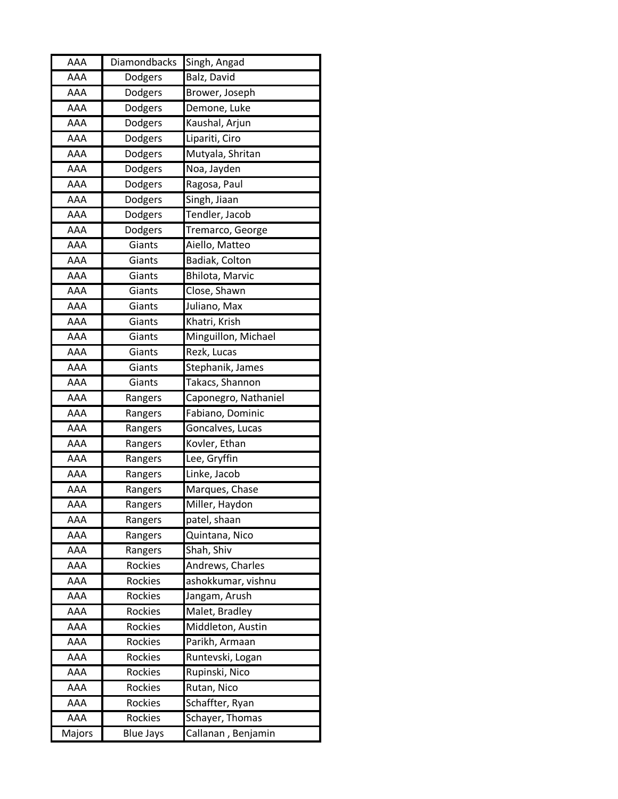| AAA        | Diamondbacks     | Singh, Angad         |
|------------|------------------|----------------------|
| AAA        | Dodgers          | Balz, David          |
| AAA        | Dodgers          | Brower, Joseph       |
| AAA        | Dodgers          | Demone, Luke         |
| AAA        | Dodgers          | Kaushal, Arjun       |
| AAA        | Dodgers          | Lipariti, Ciro       |
| <b>AAA</b> | Dodgers          | Mutyala, Shritan     |
| AAA        | Dodgers          | Noa, Jayden          |
| AAA        | Dodgers          | Ragosa, Paul         |
| AAA        | Dodgers          | Singh, Jiaan         |
| AAA        | Dodgers          | Tendler, Jacob       |
| AAA        | Dodgers          | Tremarco, George     |
| AAA        | Giants           | Aiello, Matteo       |
| <b>AAA</b> | Giants           | Badiak, Colton       |
| AAA        | Giants           | Bhilota, Marvic      |
| AAA        | Giants           | Close, Shawn         |
| AAA        | Giants           | Juliano, Max         |
| AAA        | Giants           | Khatri, Krish        |
| AAA        | Giants           | Minguillon, Michael  |
| AAA        | Giants           | Rezk, Lucas          |
| <b>AAA</b> | Giants           | Stephanik, James     |
| AAA        | Giants           | Takacs, Shannon      |
| AAA        | Rangers          | Caponegro, Nathaniel |
| AAA        | Rangers          | Fabiano, Dominic     |
| AAA        | Rangers          | Goncalves, Lucas     |
| AAA        | Rangers          | Kovler, Ethan        |
| AAA        | Rangers          | Lee, Gryffin         |
| AAA        | Rangers          | Linke, Jacob         |
| AAA        | Rangers          | Marques, Chase       |
| AAA        | Rangers          | Miller, Haydon       |
| AAA        | Rangers          | patel, shaan         |
| AAA        | Rangers          | Quintana, Nico       |
| AAA        | Rangers          | Shah, Shiv           |
| AAA        | Rockies          | Andrews, Charles     |
| AAA        | Rockies          | ashokkumar, vishnu   |
| AAA        | Rockies          | Jangam, Arush        |
| AAA        | <b>Rockies</b>   | Malet, Bradley       |
| AAA        | Rockies          | Middleton, Austin    |
| AAA        | <b>Rockies</b>   | Parikh, Armaan       |
| AAA        | Rockies          | Runtevski, Logan     |
| AAA        | <b>Rockies</b>   | Rupinski, Nico       |
| AAA        | Rockies          | Rutan, Nico          |
| AAA        | Rockies          | Schaffter, Ryan      |
| AAA        | Rockies          | Schayer, Thomas      |
| Majors     | <b>Blue Jays</b> | Callanan, Benjamin   |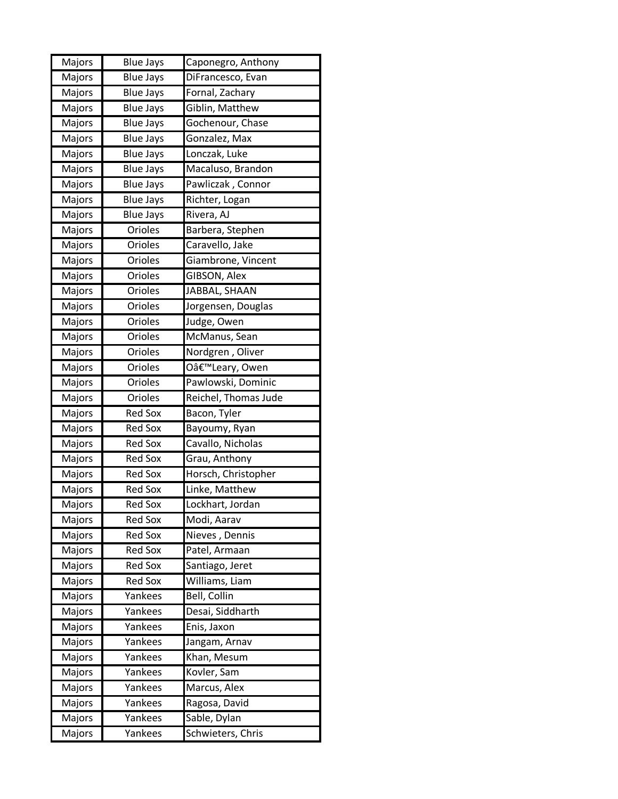| Majors | <b>Blue Jays</b> | Caponegro, Anthony   |
|--------|------------------|----------------------|
| Majors | <b>Blue Jays</b> | DiFrancesco, Evan    |
| Majors | <b>Blue Jays</b> | Fornal, Zachary      |
| Majors | <b>Blue Jays</b> | Giblin, Matthew      |
| Majors | <b>Blue Jays</b> | Gochenour, Chase     |
| Majors | <b>Blue Jays</b> | Gonzalez, Max        |
| Majors | <b>Blue Jays</b> | Lonczak, Luke        |
| Majors | <b>Blue Jays</b> | Macaluso, Brandon    |
| Majors | <b>Blue Jays</b> | Pawliczak, Connor    |
| Majors | <b>Blue Jays</b> | Richter, Logan       |
| Majors | <b>Blue Jays</b> | Rivera, AJ           |
| Majors | Orioles          | Barbera, Stephen     |
| Majors | Orioles          | Caravello, Jake      |
| Majors | Orioles          | Giambrone, Vincent   |
| Majors | Orioles          | GIBSON, Alex         |
| Majors | Orioles          | JABBAL, SHAAN        |
| Majors | Orioles          | Jorgensen, Douglas   |
| Majors | Orioles          | Judge, Owen          |
| Majors | Orioles          | McManus, Sean        |
| Majors | Orioles          | Nordgren, Oliver     |
| Majors | Orioles          | O'Leary, Owen        |
| Majors | Orioles          | Pawlowski, Dominic   |
| Majors | Orioles          | Reichel, Thomas Jude |
| Majors | <b>Red Sox</b>   | Bacon, Tyler         |
| Majors | <b>Red Sox</b>   | Bayoumy, Ryan        |
| Majors | <b>Red Sox</b>   | Cavallo, Nicholas    |
| Majors | <b>Red Sox</b>   | Grau, Anthony        |
| Majors | <b>Red Sox</b>   | Horsch, Christopher  |
| Majors | <b>Red Sox</b>   | Linke, Matthew       |
| Majors | <b>Red Sox</b>   | Lockhart, Jordan     |
| Majors | <b>Red Sox</b>   | Modi, Aarav          |
| Majors | <b>Red Sox</b>   | Nieves, Dennis       |
| Majors | <b>Red Sox</b>   | Patel, Armaan        |
| Majors | <b>Red Sox</b>   | Santiago, Jeret      |
| Majors | <b>Red Sox</b>   | Williams, Liam       |
| Majors | Yankees          | Bell, Collin         |
| Majors | Yankees          | Desai, Siddharth     |
| Majors | Yankees          | Enis, Jaxon          |
| Majors | Yankees          | Jangam, Arnav        |
| Majors | Yankees          | Khan, Mesum          |
| Majors | Yankees          | Kovler, Sam          |
| Majors | Yankees          | Marcus, Alex         |
| Majors | Yankees          | Ragosa, David        |
| Majors | Yankees          | Sable, Dylan         |
| Majors | Yankees          | Schwieters, Chris    |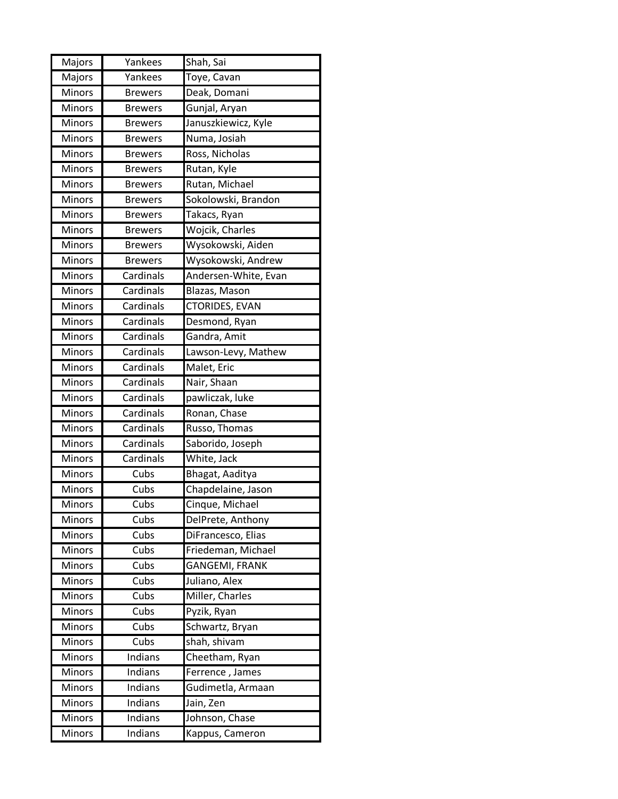| Majors | Yankees        | Shah, Sai             |
|--------|----------------|-----------------------|
| Majors | Yankees        | Toye, Cavan           |
| Minors | <b>Brewers</b> | Deak, Domani          |
| Minors | <b>Brewers</b> | Gunjal, Aryan         |
| Minors | <b>Brewers</b> | Januszkiewicz, Kyle   |
| Minors | <b>Brewers</b> | Numa, Josiah          |
| Minors | <b>Brewers</b> | Ross, Nicholas        |
| Minors | <b>Brewers</b> | Rutan, Kyle           |
| Minors | <b>Brewers</b> | Rutan, Michael        |
| Minors | <b>Brewers</b> | Sokolowski, Brandon   |
| Minors | <b>Brewers</b> | Takacs, Ryan          |
| Minors | <b>Brewers</b> | Wojcik, Charles       |
| Minors | <b>Brewers</b> | Wysokowski, Aiden     |
| Minors | <b>Brewers</b> | Wysokowski, Andrew    |
| Minors | Cardinals      | Andersen-White, Evan  |
| Minors | Cardinals      | Blazas, Mason         |
| Minors | Cardinals      | <b>CTORIDES, EVAN</b> |
| Minors | Cardinals      | Desmond, Ryan         |
| Minors | Cardinals      | Gandra, Amit          |
| Minors | Cardinals      | Lawson-Levy, Mathew   |
| Minors | Cardinals      | Malet, Eric           |
| Minors | Cardinals      | Nair, Shaan           |
| Minors | Cardinals      | pawliczak, luke       |
| Minors | Cardinals      | Ronan, Chase          |
| Minors | Cardinals      | Russo, Thomas         |
| Minors | Cardinals      | Saborido, Joseph      |
| Minors | Cardinals      | White, Jack           |
| Minors | Cubs           | Bhagat, Aaditya       |
| Minors | Cubs           | Chapdelaine, Jason    |
| Minors | Cubs           | Cinque, Michael       |
| Minors | Cubs           | DelPrete, Anthony     |
| Minors | Cubs           | DiFrancesco, Elias    |
| Minors | Cubs           | Friedeman, Michael    |
| Minors | Cubs           | GANGEMI, FRANK        |
| Minors | Cubs           | Juliano, Alex         |
| Minors | Cubs           | Miller, Charles       |
| Minors | Cubs           | Pyzik, Ryan           |
| Minors | Cubs           | Schwartz, Bryan       |
| Minors | Cubs           | shah, shivam          |
| Minors | Indians        | Cheetham, Ryan        |
| Minors | Indians        | Ferrence, James       |
| Minors | Indians        | Gudimetla, Armaan     |
| Minors | Indians        | Jain, Zen             |
| Minors | Indians        | Johnson, Chase        |
| Minors | Indians        | Kappus, Cameron       |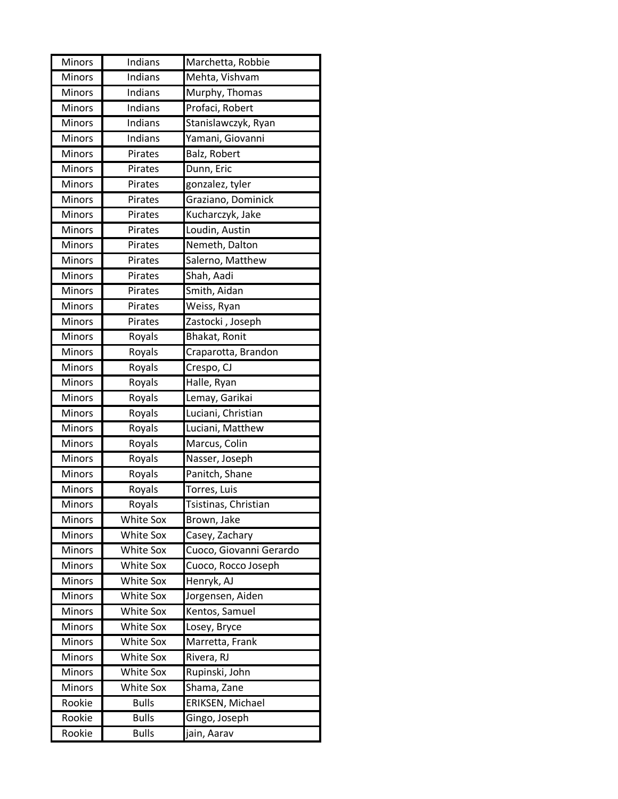| Minors        | Indians          | Marchetta, Robbie       |
|---------------|------------------|-------------------------|
| Minors        | Indians          | Mehta, Vishvam          |
| Minors        | Indians          | Murphy, Thomas          |
| Minors        | Indians          | Profaci, Robert         |
| Minors        | Indians          | Stanislawczyk, Ryan     |
| Minors        | Indians          | Yamani, Giovanni        |
| Minors        | Pirates          | Balz, Robert            |
| Minors        | Pirates          | Dunn, Eric              |
| Minors        | Pirates          | gonzalez, tyler         |
| Minors        | Pirates          | Graziano, Dominick      |
| Minors        | Pirates          | Kucharczyk, Jake        |
| Minors        | Pirates          | Loudin, Austin          |
| Minors        | Pirates          | Nemeth, Dalton          |
| Minors        | Pirates          | Salerno, Matthew        |
| Minors        | Pirates          | Shah, Aadi              |
| Minors        | Pirates          | Smith, Aidan            |
| Minors        | Pirates          | Weiss, Ryan             |
| Minors        | Pirates          | Zastocki, Joseph        |
| Minors        | Royals           | Bhakat, Ronit           |
| Minors        | Royals           | Craparotta, Brandon     |
| Minors        | Royals           | Crespo, CJ              |
| Minors        | Royals           | Halle, Ryan             |
| Minors        | Royals           | Lemay, Garikai          |
| Minors        | Royals           | Luciani, Christian      |
| Minors        | Royals           | Luciani, Matthew        |
| Minors        | Royals           | Marcus, Colin           |
| Minors        | Royals           | Nasser, Joseph          |
| <b>Minors</b> | Royals           | Panitch, Shane          |
| Minors        | Royals           | Torres, Luis            |
| Minors        | Royals           | Tsistinas, Christian    |
| <b>Minors</b> | White Sox        | Brown, Jake             |
| Minors        | White Sox        | Casey, Zachary          |
| Minors        | <b>White Sox</b> | Cuoco, Giovanni Gerardo |
| <b>Minors</b> | <b>White Sox</b> | Cuoco, Rocco Joseph     |
| Minors        | <b>White Sox</b> | Henryk, AJ              |
| Minors        | <b>White Sox</b> | Jorgensen, Aiden        |
| Minors        | <b>White Sox</b> | Kentos, Samuel          |
| Minors        | White Sox        | Losey, Bryce            |
| Minors        | <b>White Sox</b> | Marretta, Frank         |
| Minors        | <b>White Sox</b> | Rivera, RJ              |
| Minors        | <b>White Sox</b> | Rupinski, John          |
| Minors        | White Sox        | Shama, Zane             |
| Rookie        | <b>Bulls</b>     | ERIKSEN, Michael        |
| Rookie        | <b>Bulls</b>     | Gingo, Joseph           |
| Rookie        | <b>Bulls</b>     | jain, Aarav             |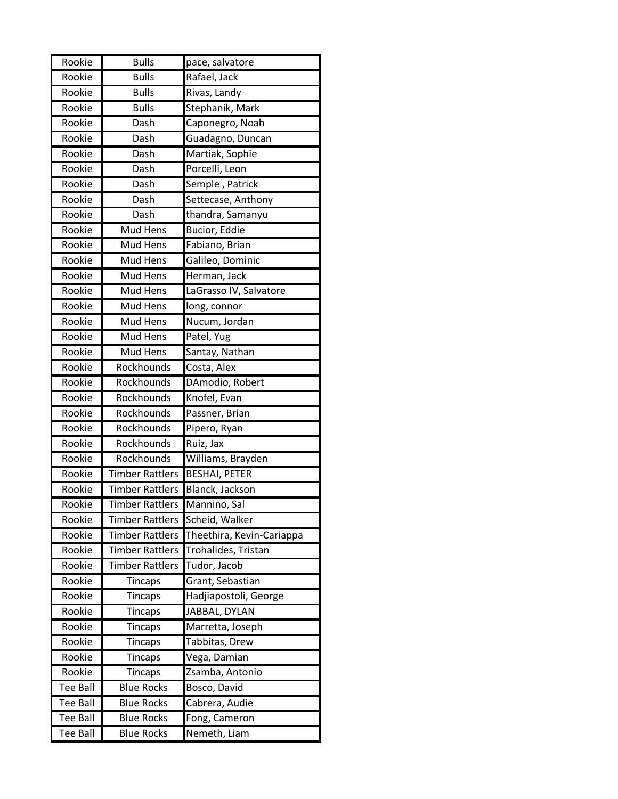| Rookie          | <b>Bulls</b>                | pace, salvatore           |
|-----------------|-----------------------------|---------------------------|
| Rookie          | $\overline{B}$ ulls         | Rafael, Jack              |
| Rookie          | <b>Bulls</b>                | Rivas, Landy              |
| Rookie          | <b>Bulls</b>                | Stephanik, Mark           |
| Rookie          | Dash                        | Caponegro, Noah           |
| Rookie          | Dash                        | Guadagno, Duncan          |
| Rookie          | Dash                        | Martiak, Sophie           |
| Rookie          | Dash                        | Porcelli, Leon            |
| Rookie          | Dash                        | Semple, Patrick           |
| Rookie          | $\overline{\mathsf{D}}$ ash | Settecase, Anthony        |
| Rookie          | Dash                        | thandra, Samanyu          |
| Rookie          | Mud Hens                    | Bucior, Eddie             |
| Rookie          | Mud Hens                    | Fabiano, Brian            |
| Rookie          | Mud Hens                    | Galileo, Dominic          |
| Rookie          | Mud Hens                    | Herman, Jack              |
| Rookie          | Mud Hens                    | LaGrasso IV, Salvatore    |
| Rookie          | Mud Hens                    | long, connor              |
| Rookie          | Mud Hens                    | Nucum, Jordan             |
| Rookie          | Mud Hens                    | Patel, Yug                |
| Rookie          | Mud Hens                    | Santay, Nathan            |
| Rookie          | Rockhounds                  | Costa, Alex               |
| Rookie          | Rockhounds                  | DAmodio, Robert           |
| Rookie          | Rockhounds                  | Knofel, Evan              |
| Rookie          | Rockhounds                  | Passner, Brian            |
| Rookie          | Rockhounds                  | Pipero, Ryan              |
| Rookie          | Rockhounds                  | Ruiz, Jax                 |
| Rookie          | Rockhounds                  | Williams, Brayden         |
| Rookie          | <b>Timber Rattlers</b>      | <b>BESHAI, PETER</b>      |
| Rookie          | <b>Timber Rattlers</b>      | Blanck, Jackson           |
| Rookie          | Timber Rattlers             | Mannino, Sal              |
| Rookie          | <b>Timber Rattlers</b>      | Scheid, Walker            |
| Rookie          | <b>Timber Rattlers</b>      | Theethira, Kevin-Cariappa |
| Rookie          | <b>Timber Rattlers</b>      | Trohalides, Tristan       |
| Rookie          | <b>Timber Rattlers</b>      | Tudor, Jacob              |
| Rookie          | Tincaps                     | Grant, Sebastian          |
| Rookie          | Tincaps                     | Hadjiapostoli, George     |
| Rookie          | Tincaps                     | JABBAL, DYLAN             |
| Rookie          | <b>Tincaps</b>              | Marretta, Joseph          |
| Rookie          | <b>Tincaps</b>              | Tabbitas, Drew            |
| Rookie          | <b>Tincaps</b>              | Vega, Damian              |
| Rookie          | Tincaps                     | Zsamba, Antonio           |
| Tee Ball        | <b>Blue Rocks</b>           | Bosco, David              |
| <b>Tee Ball</b> | <b>Blue Rocks</b>           | Cabrera, Audie            |
| <b>Tee Ball</b> | <b>Blue Rocks</b>           | Fong, Cameron             |
| Tee Ball        | <b>Blue Rocks</b>           | Nemeth, Liam              |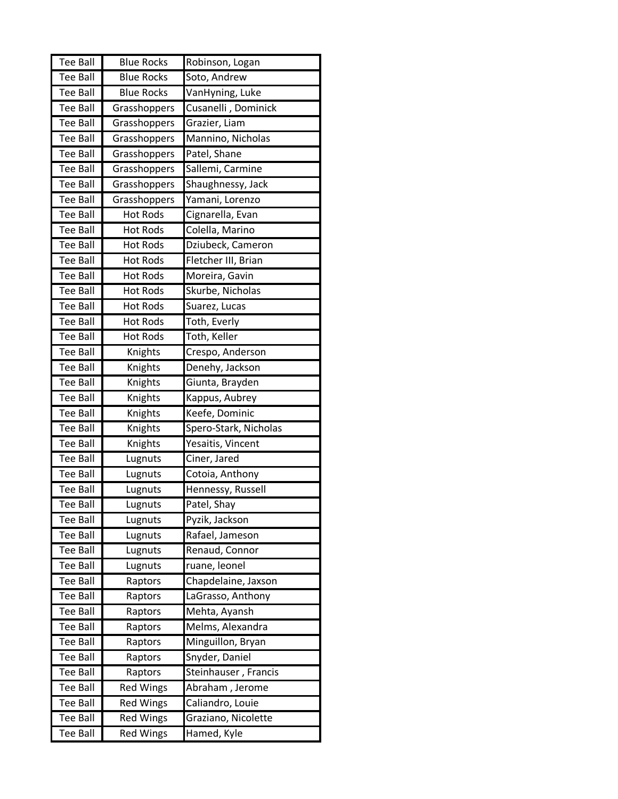| <b>Tee Ball</b> | <b>Blue Rocks</b> | Robinson, Logan       |
|-----------------|-------------------|-----------------------|
| <b>Tee Ball</b> | <b>Blue Rocks</b> | Soto, Andrew          |
| <b>Tee Ball</b> | <b>Blue Rocks</b> | VanHyning, Luke       |
| <b>Tee Ball</b> | Grasshoppers      | Cusanelli, Dominick   |
| <b>Tee Ball</b> | Grasshoppers      | Grazier, Liam         |
| <b>Tee Ball</b> | Grasshoppers      | Mannino, Nicholas     |
| <b>Tee Ball</b> | Grasshoppers      | Patel, Shane          |
| <b>Tee Ball</b> | Grasshoppers      | Sallemi, Carmine      |
| <b>Tee Ball</b> | Grasshoppers      | Shaughnessy, Jack     |
| <b>Tee Ball</b> | Grasshoppers      | Yamani, Lorenzo       |
| Tee Ball        | <b>Hot Rods</b>   | Cignarella, Evan      |
| <b>Tee Ball</b> | <b>Hot Rods</b>   | Colella, Marino       |
| <b>Tee Ball</b> | <b>Hot Rods</b>   | Dziubeck, Cameron     |
| <b>Tee Ball</b> | <b>Hot Rods</b>   | Fletcher III, Brian   |
| <b>Tee Ball</b> | <b>Hot Rods</b>   | Moreira, Gavin        |
| <b>Tee Ball</b> | <b>Hot Rods</b>   | Skurbe, Nicholas      |
| <b>Tee Ball</b> | <b>Hot Rods</b>   | Suarez, Lucas         |
| <b>Tee Ball</b> | <b>Hot Rods</b>   | Toth, Everly          |
| <b>Tee Ball</b> | <b>Hot Rods</b>   | Toth, Keller          |
| Tee Ball        | Knights           | Crespo, Anderson      |
| <b>Tee Ball</b> | Knights           | Denehy, Jackson       |
| <b>Tee Ball</b> | Knights           | Giunta, Brayden       |
| Tee Ball        | Knights           | Kappus, Aubrey        |
| Tee Ball        | Knights           | Keefe, Dominic        |
| <b>Tee Ball</b> | Knights           | Spero-Stark, Nicholas |
| <b>Tee Ball</b> | Knights           | Yesaitis, Vincent     |
| <b>Tee Ball</b> | Lugnuts           | Ciner, Jared          |
| <b>Tee Ball</b> | Lugnuts           | Cotoia, Anthony       |
| Tee Ball        | Lugnuts           | Hennessy, Russell     |
| Tee Ball        | Lugnuts           | Patel, Shay           |
| <b>Tee Ball</b> | Lugnuts           | Pyzik, Jackson        |
| <b>Tee Ball</b> | Lugnuts           | Rafael, Jameson       |
| Tee Ball        | Lugnuts           | Renaud, Connor        |
| <b>Tee Ball</b> | Lugnuts           | ruane, leonel         |
| <b>Tee Ball</b> | Raptors           | Chapdelaine, Jaxson   |
| <b>Tee Ball</b> | Raptors           | LaGrasso, Anthony     |
| <b>Tee Ball</b> | Raptors           | Mehta, Ayansh         |
| Tee Ball        | Raptors           | Melms, Alexandra      |
| <b>Tee Ball</b> | Raptors           | Minguillon, Bryan     |
| <b>Tee Ball</b> | Raptors           | Snyder, Daniel        |
| <b>Tee Ball</b> | Raptors           | Steinhauser, Francis  |
| Tee Ball        | <b>Red Wings</b>  | Abraham, Jerome       |
| <b>Tee Ball</b> | <b>Red Wings</b>  | Caliandro, Louie      |
| <b>Tee Ball</b> | <b>Red Wings</b>  | Graziano, Nicolette   |
| Tee Ball        | <b>Red Wings</b>  | Hamed, Kyle           |